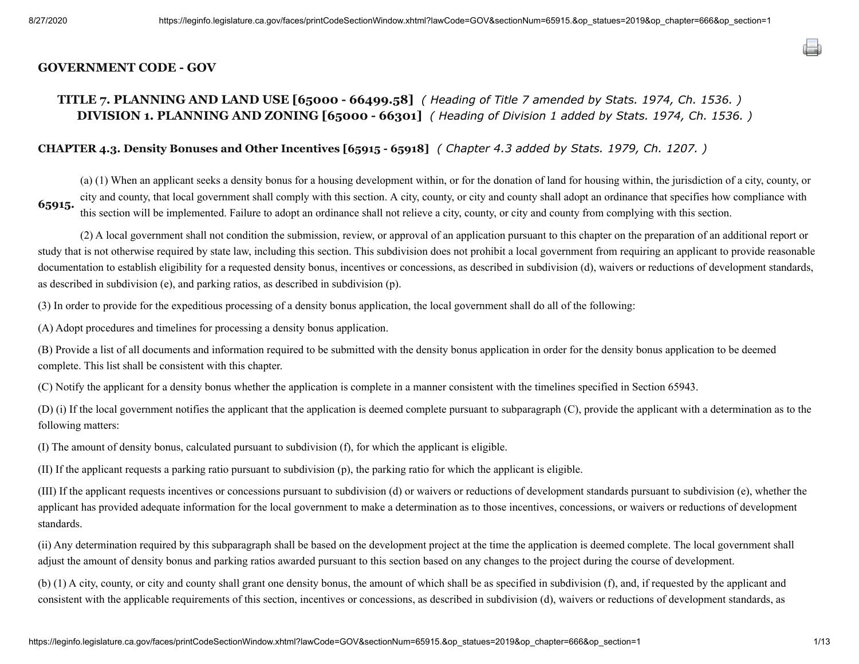## **GOVERNMENT CODE - GOV**

# **TITLE 7. PLANNING AND LAND USE [65000 - 66499.58]** *( Heading of Title 7 amended by Stats. 1974, Ch. 1536. )* **DIVISION 1. PLANNING AND ZONING [65000 - 66301]** *( Heading of Division 1 added by Stats. 1974, Ch. 1536. )*

# **CHAPTER 4.3. Density Bonuses and Other Incentives [65915 - 65918]** *( Chapter 4.3 added by Stats. 1979, Ch. 1207. )*

**65915.**  (a) (1) When an applicant seeks a density bonus for a housing development within, or for the donation of land for housing within, the jurisdiction of a city, county, or city and county, that local government shall comply with this section. A city, county, or city and county shall adopt an ordinance that specifies how compliance with this section will be implemented. Failure to adopt an ordinance shall not relieve a city, county, or city and county from complying with this section.

(2) A local government shall not condition the submission, review, or approval of an application pursuant to this chapter on the preparation of an additional report or study that is not otherwise required by state law, including this section. This subdivision does not prohibit a local government from requiring an applicant to provide reasonable documentation to establish eligibility for a requested density bonus, incentives or concessions, as described in subdivision (d), waivers or reductions of development standards, as described in subdivision (e), and parking ratios, as described in subdivision (p).

(3) In order to provide for the expeditious processing of a density bonus application, the local government shall do all of the following:

(A) Adopt procedures and timelines for processing a density bonus application.

(B) Provide a list of all documents and information required to be submitted with the density bonus application in order for the density bonus application to be deemed complete. This list shall be consistent with this chapter.

(C) Notify the applicant for a density bonus whether the application is complete in a manner consistent with the timelines specified in Section 65943.

(D) (i) If the local government notifies the applicant that the application is deemed complete pursuant to subparagraph (C), provide the applicant with a determination as to the following matters:

(I) The amount of density bonus, calculated pursuant to subdivision (f), for which the applicant is eligible.

(II) If the applicant requests a parking ratio pursuant to subdivision (p), the parking ratio for which the applicant is eligible.

(III) If the applicant requests incentives or concessions pursuant to subdivision (d) or waivers or reductions of development standards pursuant to subdivision (e), whether the applicant has provided adequate information for the local government to make a determination as to those incentives, concessions, or waivers or reductions of development standards.

(ii) Any determination required by this subparagraph shall be based on the development project at the time the application is deemed complete. The local government shall adjust the amount of density bonus and parking ratios awarded pursuant to this section based on any changes to the project during the course of development.

(b) (1) A city, county, or city and county shall grant one density bonus, the amount of which shall be as specified in subdivision (f), and, if requested by the applicant and consistent with the applicable requirements of this section, incentives or concessions, as described in subdivision (d), waivers or reductions of development standards, as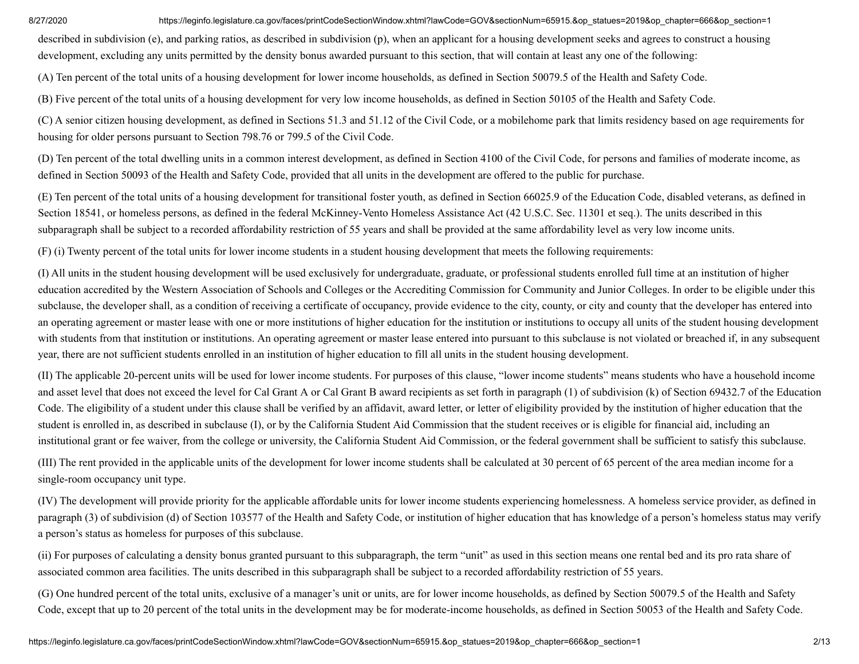described in subdivision (e), and parking ratios, as described in subdivision (p), when an applicant for a housing development seeks and agrees to construct a housing development, excluding any units permitted by the density bonus awarded pursuant to this section, that will contain at least any one of the following:

(A) Ten percent of the total units of a housing development for lower income households, as defined in Section 50079.5 of the Health and Safety Code.

(B) Five percent of the total units of a housing development for very low income households, as defined in Section 50105 of the Health and Safety Code.

(C) A senior citizen housing development, as defined in Sections 51.3 and 51.12 of the Civil Code, or a mobilehome park that limits residency based on age requirements for housing for older persons pursuant to Section 798.76 or 799.5 of the Civil Code.

(D) Ten percent of the total dwelling units in a common interest development, as defined in Section 4100 of the Civil Code, for persons and families of moderate income, as defined in Section 50093 of the Health and Safety Code, provided that all units in the development are offered to the public for purchase.

(E) Ten percent of the total units of a housing development for transitional foster youth, as defined in Section 66025.9 of the Education Code, disabled veterans, as defined in Section 18541, or homeless persons, as defined in the federal McKinney-Vento Homeless Assistance Act (42 U.S.C. Sec. 11301 et seq.). The units described in this subparagraph shall be subject to a recorded affordability restriction of 55 years and shall be provided at the same affordability level as very low income units.

(F) (i) Twenty percent of the total units for lower income students in a student housing development that meets the following requirements:

(I) All units in the student housing development will be used exclusively for undergraduate, graduate, or professional students enrolled full time at an institution of higher education accredited by the Western Association of Schools and Colleges or the Accrediting Commission for Community and Junior Colleges. In order to be eligible under this subclause, the developer shall, as a condition of receiving a certificate of occupancy, provide evidence to the city, county, or city and county that the developer has entered into an operating agreement or master lease with one or more institutions of higher education for the institution or institutions to occupy all units of the student housing development with students from that institution or institutions. An operating agreement or master lease entered into pursuant to this subclause is not violated or breached if, in any subsequent year, there are not sufficient students enrolled in an institution of higher education to fill all units in the student housing development.

(II) The applicable 20-percent units will be used for lower income students. For purposes of this clause, "lower income students" means students who have a household income and asset level that does not exceed the level for Cal Grant A or Cal Grant B award recipients as set forth in paragraph (1) of subdivision (k) of Section 69432.7 of the Education Code. The eligibility of a student under this clause shall be verified by an affidavit, award letter, or letter of eligibility provided by the institution of higher education that the student is enrolled in, as described in subclause (I), or by the California Student Aid Commission that the student receives or is eligible for financial aid, including an institutional grant or fee waiver, from the college or university, the California Student Aid Commission, or the federal government shall be sufficient to satisfy this subclause.

(III) The rent provided in the applicable units of the development for lower income students shall be calculated at 30 percent of 65 percent of the area median income for a single-room occupancy unit type.

(IV) The development will provide priority for the applicable affordable units for lower income students experiencing homelessness. A homeless service provider, as defined in paragraph (3) of subdivision (d) of Section 103577 of the Health and Safety Code, or institution of higher education that has knowledge of a person's homeless status may verify a person's status as homeless for purposes of this subclause.

(ii) For purposes of calculating a density bonus granted pursuant to this subparagraph, the term "unit" as used in this section means one rental bed and its pro rata share of associated common area facilities. The units described in this subparagraph shall be subject to a recorded affordability restriction of 55 years.

(G) One hundred percent of the total units, exclusive of a manager's unit or units, are for lower income households, as defined by Section 50079.5 of the Health and Safety Code, except that up to 20 percent of the total units in the development may be for moderate-income households, as defined in Section 50053 of the Health and Safety Code.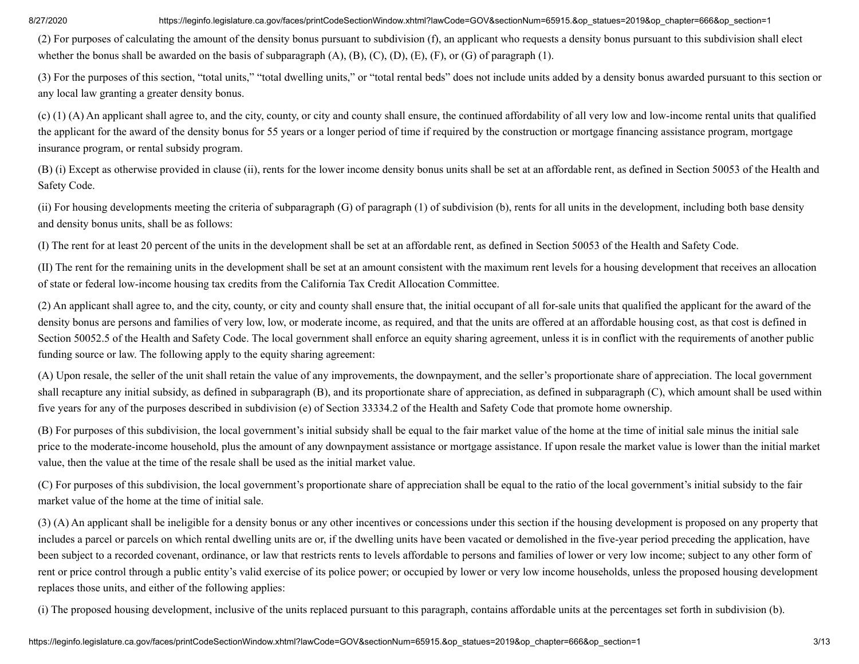(2) For purposes of calculating the amount of the density bonus pursuant to subdivision (f), an applicant who requests a density bonus pursuant to this subdivision shall elect whether the bonus shall be awarded on the basis of subparagraph  $(A)$ ,  $(B)$ ,  $(C)$ ,  $(D)$ ,  $(E)$ ,  $(F)$ , or  $(G)$  of paragraph  $(1)$ .

(3) For the purposes of this section, "total units," "total dwelling units," or "total rental beds" does not include units added by a density bonus awarded pursuant to this section or any local law granting a greater density bonus.

(c) (1) (A) An applicant shall agree to, and the city, county, or city and county shall ensure, the continued affordability of all very low and low-income rental units that qualified the applicant for the award of the density bonus for 55 years or a longer period of time if required by the construction or mortgage financing assistance program, mortgage insurance program, or rental subsidy program.

(B) (i) Except as otherwise provided in clause (ii), rents for the lower income density bonus units shall be set at an affordable rent, as defined in Section 50053 of the Health and Safety Code.

(ii) For housing developments meeting the criteria of subparagraph (G) of paragraph (1) of subdivision (b), rents for all units in the development, including both base density and density bonus units, shall be as follows:

(I) The rent for at least 20 percent of the units in the development shall be set at an affordable rent, as defined in Section 50053 of the Health and Safety Code.

(II) The rent for the remaining units in the development shall be set at an amount consistent with the maximum rent levels for a housing development that receives an allocation of state or federal low-income housing tax credits from the California Tax Credit Allocation Committee.

(2) An applicant shall agree to, and the city, county, or city and county shall ensure that, the initial occupant of all for-sale units that qualified the applicant for the award of the density bonus are persons and families of very low, low, or moderate income, as required, and that the units are offered at an affordable housing cost, as that cost is defined in Section 50052.5 of the Health and Safety Code. The local government shall enforce an equity sharing agreement, unless it is in conflict with the requirements of another public funding source or law. The following apply to the equity sharing agreement:

(A) Upon resale, the seller of the unit shall retain the value of any improvements, the downpayment, and the seller's proportionate share of appreciation. The local government shall recapture any initial subsidy, as defined in subparagraph (B), and its proportionate share of appreciation, as defined in subparagraph (C), which amount shall be used within five years for any of the purposes described in subdivision (e) of Section 33334.2 of the Health and Safety Code that promote home ownership.

(B) For purposes of this subdivision, the local government's initial subsidy shall be equal to the fair market value of the home at the time of initial sale minus the initial sale price to the moderate-income household, plus the amount of any downpayment assistance or mortgage assistance. If upon resale the market value is lower than the initial market value, then the value at the time of the resale shall be used as the initial market value.

(C) For purposes of this subdivision, the local government's proportionate share of appreciation shall be equal to the ratio of the local government's initial subsidy to the fair market value of the home at the time of initial sale.

(3) (A) An applicant shall be ineligible for a density bonus or any other incentives or concessions under this section if the housing development is proposed on any property that includes a parcel or parcels on which rental dwelling units are or, if the dwelling units have been vacated or demolished in the five-year period preceding the application, have been subject to a recorded covenant, ordinance, or law that restricts rents to levels affordable to persons and families of lower or very low income; subject to any other form of rent or price control through a public entity's valid exercise of its police power; or occupied by lower or very low income households, unless the proposed housing development replaces those units, and either of the following applies:

(i) The proposed housing development, inclusive of the units replaced pursuant to this paragraph, contains affordable units at the percentages set forth in subdivision (b).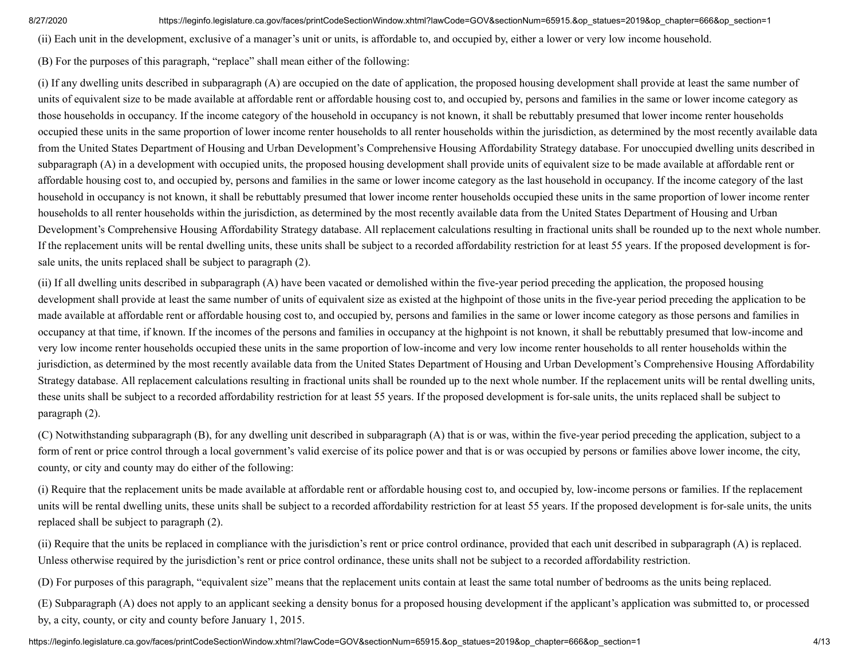(ii) Each unit in the development, exclusive of a manager's unit or units, is affordable to, and occupied by, either a lower or very low income household.

(B) For the purposes of this paragraph, "replace" shall mean either of the following:

(i) If any dwelling units described in subparagraph (A) are occupied on the date of application, the proposed housing development shall provide at least the same number of units of equivalent size to be made available at affordable rent or affordable housing cost to, and occupied by, persons and families in the same or lower income category as those households in occupancy. If the income category of the household in occupancy is not known, it shall be rebuttably presumed that lower income renter households occupied these units in the same proportion of lower income renter households to all renter households within the jurisdiction, as determined by the most recently available data from the United States Department of Housing and Urban Development's Comprehensive Housing Affordability Strategy database. For unoccupied dwelling units described in subparagraph (A) in a development with occupied units, the proposed housing development shall provide units of equivalent size to be made available at affordable rent or affordable housing cost to, and occupied by, persons and families in the same or lower income category as the last household in occupancy. If the income category of the last household in occupancy is not known, it shall be rebuttably presumed that lower income renter households occupied these units in the same proportion of lower income renter households to all renter households within the jurisdiction, as determined by the most recently available data from the United States Department of Housing and Urban Development's Comprehensive Housing Affordability Strategy database. All replacement calculations resulting in fractional units shall be rounded up to the next whole number. If the replacement units will be rental dwelling units, these units shall be subject to a recorded affordability restriction for at least 55 years. If the proposed development is forsale units, the units replaced shall be subject to paragraph (2).

(ii) If all dwelling units described in subparagraph (A) have been vacated or demolished within the five-year period preceding the application, the proposed housing development shall provide at least the same number of units of equivalent size as existed at the highpoint of those units in the five-year period preceding the application to be made available at affordable rent or affordable housing cost to, and occupied by, persons and families in the same or lower income category as those persons and families in occupancy at that time, if known. If the incomes of the persons and families in occupancy at the highpoint is not known, it shall be rebuttably presumed that low-income and very low income renter households occupied these units in the same proportion of low-income and very low income renter households to all renter households within the jurisdiction, as determined by the most recently available data from the United States Department of Housing and Urban Development's Comprehensive Housing Affordability Strategy database. All replacement calculations resulting in fractional units shall be rounded up to the next whole number. If the replacement units will be rental dwelling units, these units shall be subject to a recorded affordability restriction for at least 55 years. If the proposed development is for-sale units, the units replaced shall be subject to paragraph (2).

(C) Notwithstanding subparagraph (B), for any dwelling unit described in subparagraph (A) that is or was, within the five-year period preceding the application, subject to a form of rent or price control through a local government's valid exercise of its police power and that is or was occupied by persons or families above lower income, the city, county, or city and county may do either of the following:

(i) Require that the replacement units be made available at affordable rent or affordable housing cost to, and occupied by, low-income persons or families. If the replacement units will be rental dwelling units, these units shall be subject to a recorded affordability restriction for at least 55 years. If the proposed development is for-sale units, the units replaced shall be subject to paragraph (2).

(ii) Require that the units be replaced in compliance with the jurisdiction's rent or price control ordinance, provided that each unit described in subparagraph (A) is replaced. Unless otherwise required by the jurisdiction's rent or price control ordinance, these units shall not be subject to a recorded affordability restriction.

(D) For purposes of this paragraph, "equivalent size" means that the replacement units contain at least the same total number of bedrooms as the units being replaced.

(E) Subparagraph (A) does not apply to an applicant seeking a density bonus for a proposed housing development if the applicant's application was submitted to, or processed by, a city, county, or city and county before January 1, 2015.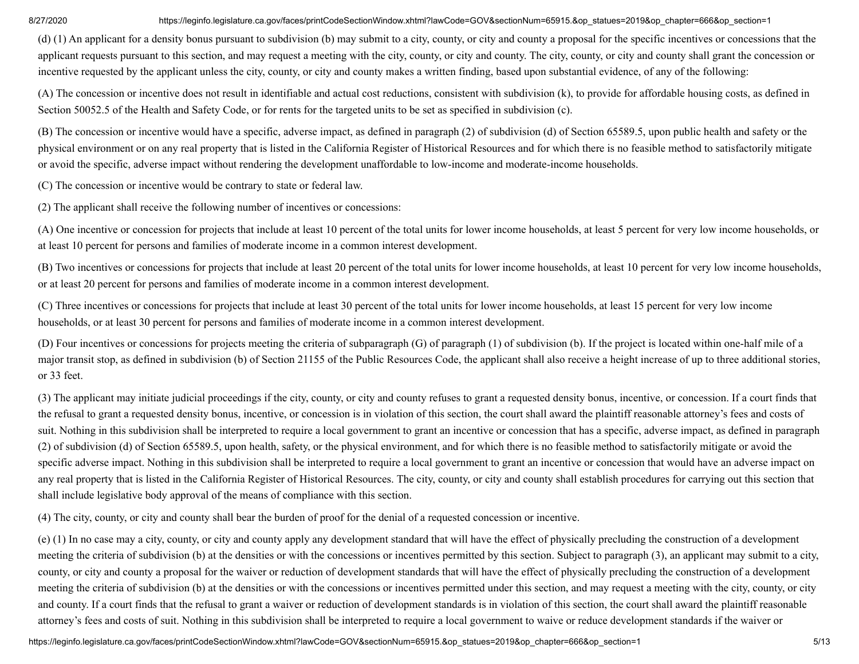(d) (1) An applicant for a density bonus pursuant to subdivision (b) may submit to a city, county, or city and county a proposal for the specific incentives or concessions that the applicant requests pursuant to this section, and may request a meeting with the city, county, or city and county. The city, county, or city and county shall grant the concession or incentive requested by the applicant unless the city, county, or city and county makes a written finding, based upon substantial evidence, of any of the following:

(A) The concession or incentive does not result in identifiable and actual cost reductions, consistent with subdivision (k), to provide for affordable housing costs, as defined in Section 50052.5 of the Health and Safety Code, or for rents for the targeted units to be set as specified in subdivision (c).

(B) The concession or incentive would have a specific, adverse impact, as defined in paragraph (2) of subdivision (d) of Section 65589.5, upon public health and safety or the physical environment or on any real property that is listed in the California Register of Historical Resources and for which there is no feasible method to satisfactorily mitigate or avoid the specific, adverse impact without rendering the development unaffordable to low-income and moderate-income households.

(C) The concession or incentive would be contrary to state or federal law.

(2) The applicant shall receive the following number of incentives or concessions:

(A) One incentive or concession for projects that include at least 10 percent of the total units for lower income households, at least 5 percent for very low income households, or at least 10 percent for persons and families of moderate income in a common interest development.

(B) Two incentives or concessions for projects that include at least 20 percent of the total units for lower income households, at least 10 percent for very low income households, or at least 20 percent for persons and families of moderate income in a common interest development.

(C) Three incentives or concessions for projects that include at least 30 percent of the total units for lower income households, at least 15 percent for very low income households, or at least 30 percent for persons and families of moderate income in a common interest development.

(D) Four incentives or concessions for projects meeting the criteria of subparagraph (G) of paragraph (1) of subdivision (b). If the project is located within one-half mile of a major transit stop, as defined in subdivision (b) of Section 21155 of the Public Resources Code, the applicant shall also receive a height increase of up to three additional stories, or 33 feet.

(3) The applicant may initiate judicial proceedings if the city, county, or city and county refuses to grant a requested density bonus, incentive, or concession. If a court finds that the refusal to grant a requested density bonus, incentive, or concession is in violation of this section, the court shall award the plaintiff reasonable attorney's fees and costs of suit. Nothing in this subdivision shall be interpreted to require a local government to grant an incentive or concession that has a specific, adverse impact, as defined in paragraph (2) of subdivision (d) of Section 65589.5, upon health, safety, or the physical environment, and for which there is no feasible method to satisfactorily mitigate or avoid the specific adverse impact. Nothing in this subdivision shall be interpreted to require a local government to grant an incentive or concession that would have an adverse impact on any real property that is listed in the California Register of Historical Resources. The city, county, or city and county shall establish procedures for carrying out this section that shall include legislative body approval of the means of compliance with this section.

(4) The city, county, or city and county shall bear the burden of proof for the denial of a requested concession or incentive.

(e) (1) In no case may a city, county, or city and county apply any development standard that will have the effect of physically precluding the construction of a development meeting the criteria of subdivision (b) at the densities or with the concessions or incentives permitted by this section. Subject to paragraph (3), an applicant may submit to a city, county, or city and county a proposal for the waiver or reduction of development standards that will have the effect of physically precluding the construction of a development meeting the criteria of subdivision (b) at the densities or with the concessions or incentives permitted under this section, and may request a meeting with the city, county, or city and county. If a court finds that the refusal to grant a waiver or reduction of development standards is in violation of this section, the court shall award the plaintiff reasonable attorney's fees and costs of suit. Nothing in this subdivision shall be interpreted to require a local government to waive or reduce development standards if the waiver or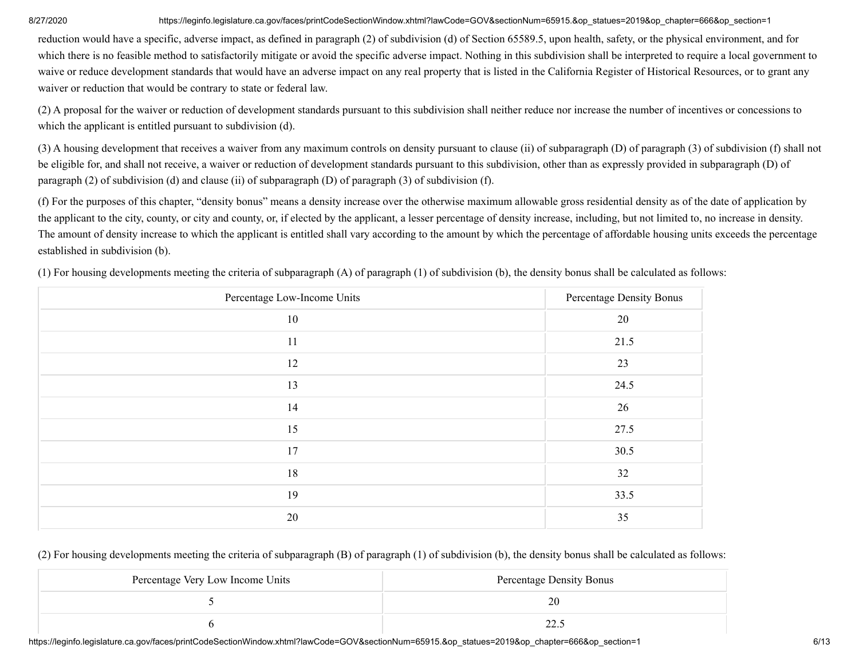reduction would have a specific, adverse impact, as defined in paragraph (2) of subdivision (d) of Section 65589.5, upon health, safety, or the physical environment, and for which there is no feasible method to satisfactorily mitigate or avoid the specific adverse impact. Nothing in this subdivision shall be interpreted to require a local government to waive or reduce development standards that would have an adverse impact on any real property that is listed in the California Register of Historical Resources, or to grant any waiver or reduction that would be contrary to state or federal law.

(2) A proposal for the waiver or reduction of development standards pursuant to this subdivision shall neither reduce nor increase the number of incentives or concessions to which the applicant is entitled pursuant to subdivision (d).

(3) A housing development that receives a waiver from any maximum controls on density pursuant to clause (ii) of subparagraph (D) of paragraph (3) of subdivision (f) shall not be eligible for, and shall not receive, a waiver or reduction of development standards pursuant to this subdivision, other than as expressly provided in subparagraph (D) of paragraph (2) of subdivision (d) and clause (ii) of subparagraph (D) of paragraph (3) of subdivision (f).

(f) For the purposes of this chapter, "density bonus" means a density increase over the otherwise maximum allowable gross residential density as of the date of application by the applicant to the city, county, or city and county, or, if elected by the applicant, a lesser percentage of density increase, including, but not limited to, no increase in density. The amount of density increase to which the applicant is entitled shall vary according to the amount by which the percentage of affordable housing units exceeds the percentage established in subdivision (b).

| Percentage Low-Income Units | Percentage Density Bonus |
|-----------------------------|--------------------------|
| 10                          | 20                       |
| 11                          | 21.5                     |
| 12                          | 23                       |
| 13                          | 24.5                     |
| 14                          | 26                       |
| 15                          | 27.5                     |
| 17                          | 30.5                     |
| 18                          | 32                       |
| 19                          | 33.5                     |
| 20                          | 35                       |

(1) For housing developments meeting the criteria of subparagraph (A) of paragraph (1) of subdivision (b), the density bonus shall be calculated as follows:

## (2) For housing developments meeting the criteria of subparagraph (B) of paragraph (1) of subdivision (b), the density bonus shall be calculated as follows:

| Percentage Very Low Income Units | Percentage Density Bonus |
|----------------------------------|--------------------------|
|                                  |                          |
|                                  | 44.,                     |

https://leginfo.legislature.ca.gov/faces/printCodeSectionWindow.xhtml?lawCode=GOV&sectionNum=65915.&op\_statues=2019&op\_chapter=666&op\_section=1 6/13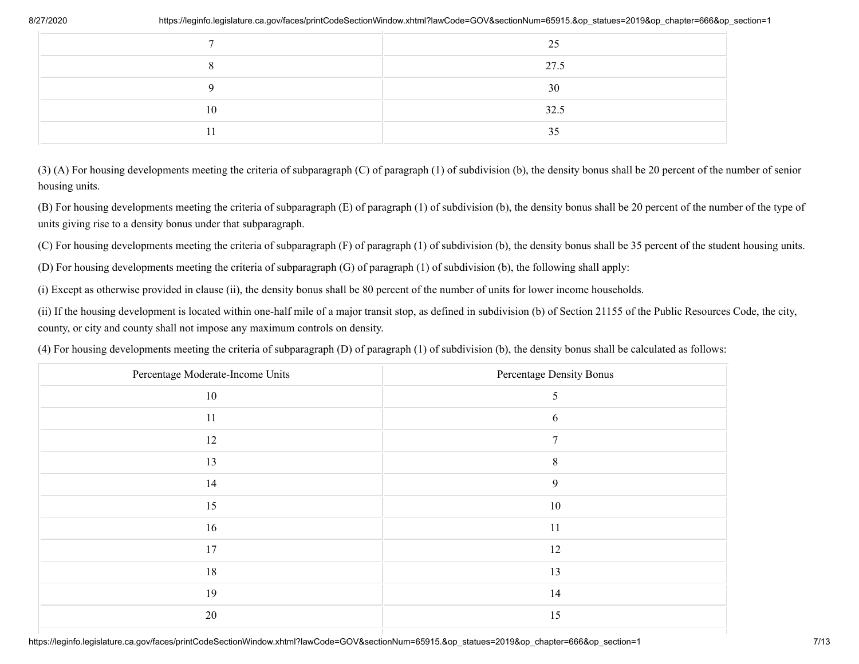| https://leginfo.legislature.ca.gov/faces/printCodeSectionWindow.xhtml?lawCode=GOV&sectionNum=65915.&op_statues=2019&op_chapter=666&op_sectio |    |
|----------------------------------------------------------------------------------------------------------------------------------------------|----|
| 25                                                                                                                                           |    |
| 27.5                                                                                                                                         |    |
| 30                                                                                                                                           |    |
| 32.5                                                                                                                                         | 10 |
| 35                                                                                                                                           | 11 |

(3) (A) For housing developments meeting the criteria of subparagraph (C) of paragraph (1) of subdivision (b), the density bonus shall be 20 percent of the number of senior housing units.

(B) For housing developments meeting the criteria of subparagraph (E) of paragraph (1) of subdivision (b), the density bonus shall be 20 percent of the number of the type of units giving rise to a density bonus under that subparagraph.

(C) For housing developments meeting the criteria of subparagraph (F) of paragraph (1) of subdivision (b), the density bonus shall be 35 percent of the student housing units.

(D) For housing developments meeting the criteria of subparagraph (G) of paragraph (1) of subdivision (b), the following shall apply:

(i) Except as otherwise provided in clause (ii), the density bonus shall be 80 percent of the number of units for lower income households.

(ii) If the housing development is located within one-half mile of a major transit stop, as defined in subdivision (b) of Section 21155 of the Public Resources Code, the city, county, or city and county shall not impose any maximum controls on density.

(4) For housing developments meeting the criteria of subparagraph (D) of paragraph (1) of subdivision (b), the density bonus shall be calculated as follows:

| Percentage Moderate-Income Units | Percentage Density Bonus |
|----------------------------------|--------------------------|
| 10                               | 5                        |
| 11                               | 6                        |
| 12                               | 7                        |
| 13                               | 8                        |
| 14                               | 9                        |
| 15                               | 10                       |
| 16                               | 11                       |
| 17                               | 12                       |
| 18                               | 13                       |
| 19                               | 14                       |
| 20                               | 15                       |
|                                  |                          |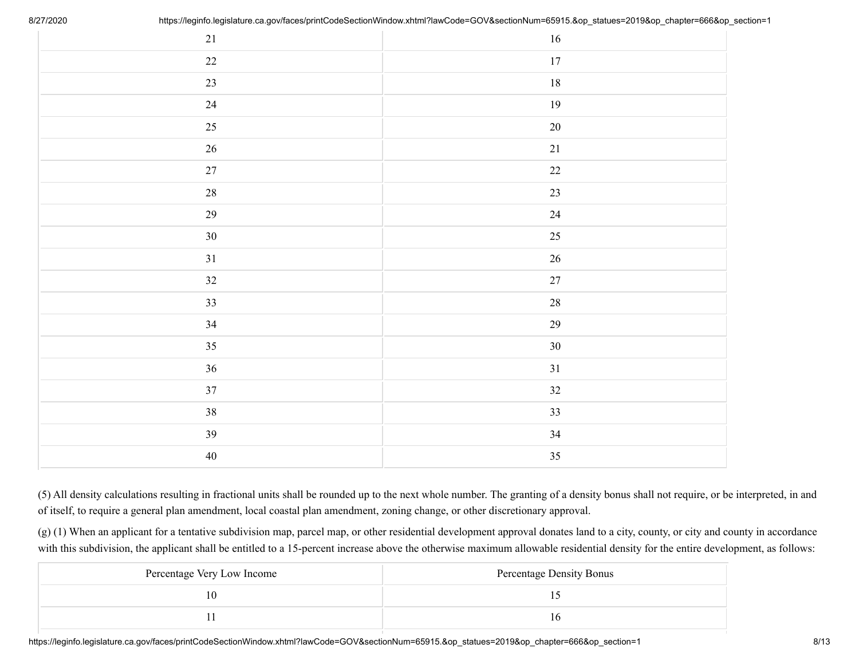| $21\,$ | $16\,$ |
|--------|--------|
| $22\,$ | $17\,$ |
| 23     | $18\,$ |
| 24     | $19\,$ |
| $25\,$ | $20\,$ |
| $26\,$ | $21\,$ |
| $27\,$ | 22     |
| $28\,$ | 23     |
| 29     | 24     |
| $30\,$ | 25     |
| 31     | $26\,$ |
| $32\,$ | $27\,$ |
| 33     | $28\,$ |
| 34     | $29\,$ |
| 35     | $30\,$ |
| 36     | 31     |
| 37     | 32     |
| 38     | 33     |
| 39     | $34\,$ |
| $40\,$ | 35     |

(5) All density calculations resulting in fractional units shall be rounded up to the next whole number. The granting of a density bonus shall not require, or be interpreted, in and of itself, to require a general plan amendment, local coastal plan amendment, zoning change, or other discretionary approval.

(g) (1) When an applicant for a tentative subdivision map, parcel map, or other residential development approval donates land to a city, county, or city and county in accordance with this subdivision, the applicant shall be entitled to a 15-percent increase above the otherwise maximum allowable residential density for the entire development, as follows:

| Percentage Very Low Income | Percentage Density Bonus |
|----------------------------|--------------------------|
|                            |                          |
|                            |                          |

https://leginfo.legislature.ca.gov/faces/printCodeSectionWindow.xhtml?lawCode=GOV&sectionNum=65915.&op\_statues=2019&op chapter=666&op section=1 8/13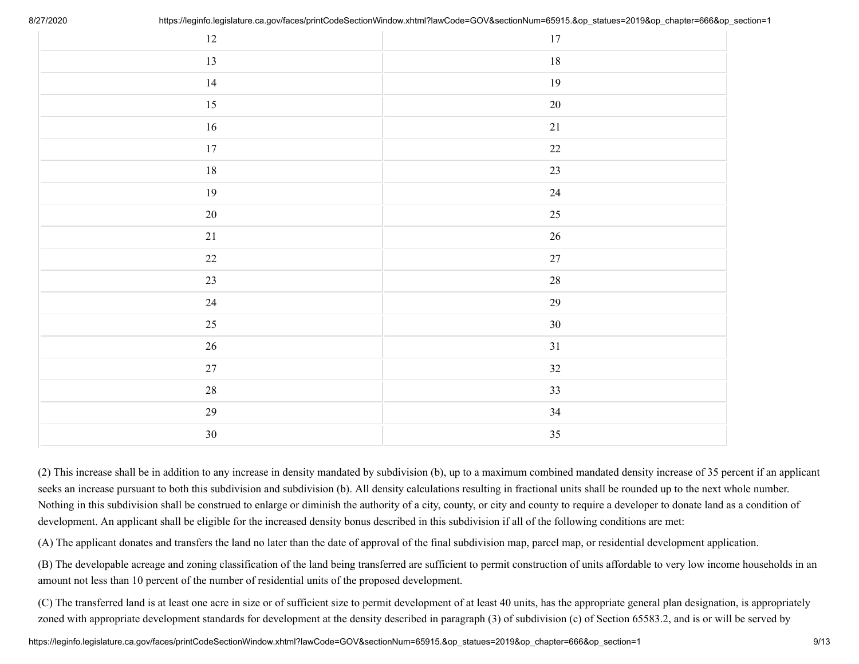| $12\,$ | $17\,$ |
|--------|--------|
| 13     | $18\,$ |
| 14     | $19\,$ |
| 15     | $20\,$ |
| $16\,$ | 21     |
| $17\,$ | $22\,$ |
| $18\,$ | 23     |
| 19     | $24\,$ |
| $20\,$ | 25     |
| $21\,$ | $26\,$ |
| $22\,$ | $27\,$ |
| 23     | $28\,$ |
| 24     | $29\,$ |
| 25     | $30\,$ |
| 26     | $31\,$ |
| $27\,$ | 32     |
| $28\,$ | 33     |
| $29\,$ | $34\,$ |
| $30\,$ | 35     |

(2) This increase shall be in addition to any increase in density mandated by subdivision (b), up to a maximum combined mandated density increase of 35 percent if an applicant seeks an increase pursuant to both this subdivision and subdivision (b). All density calculations resulting in fractional units shall be rounded up to the next whole number. Nothing in this subdivision shall be construed to enlarge or diminish the authority of a city, county, or city and county to require a developer to donate land as a condition of development. An applicant shall be eligible for the increased density bonus described in this subdivision if all of the following conditions are met:

(A) The applicant donates and transfers the land no later than the date of approval of the final subdivision map, parcel map, or residential development application.

(B) The developable acreage and zoning classification of the land being transferred are sufficient to permit construction of units affordable to very low income households in an amount not less than 10 percent of the number of residential units of the proposed development.

(C) The transferred land is at least one acre in size or of sufficient size to permit development of at least 40 units, has the appropriate general plan designation, is appropriately zoned with appropriate development standards for development at the density described in paragraph (3) of subdivision (c) of Section 65583.2, and is or will be served by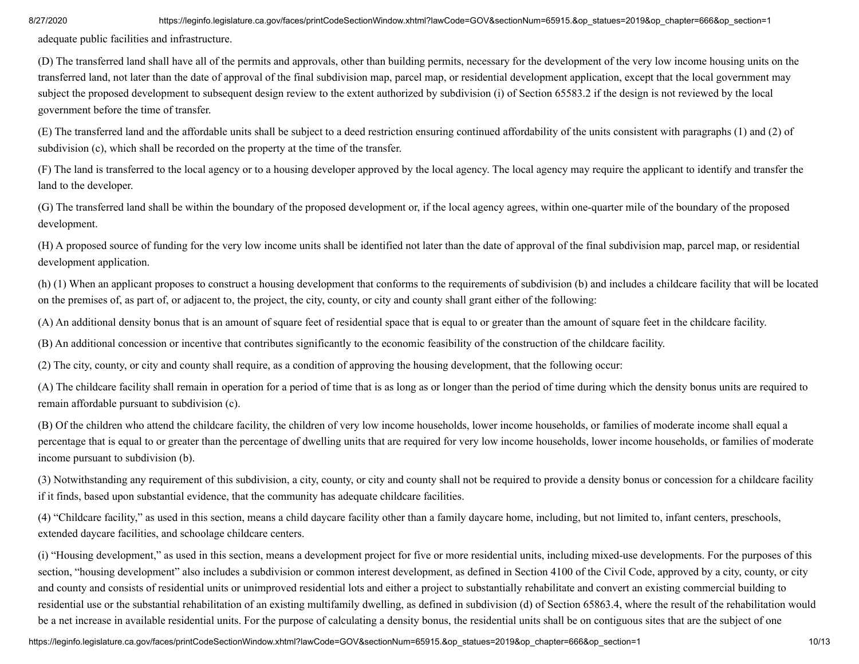adequate public facilities and infrastructure.

(D) The transferred land shall have all of the permits and approvals, other than building permits, necessary for the development of the very low income housing units on the transferred land, not later than the date of approval of the final subdivision map, parcel map, or residential development application, except that the local government may subject the proposed development to subsequent design review to the extent authorized by subdivision (i) of Section 65583.2 if the design is not reviewed by the local government before the time of transfer.

(E) The transferred land and the affordable units shall be subject to a deed restriction ensuring continued affordability of the units consistent with paragraphs (1) and (2) of subdivision (c), which shall be recorded on the property at the time of the transfer.

(F) The land is transferred to the local agency or to a housing developer approved by the local agency. The local agency may require the applicant to identify and transfer the land to the developer.

(G) The transferred land shall be within the boundary of the proposed development or, if the local agency agrees, within one-quarter mile of the boundary of the proposed development.

(H) A proposed source of funding for the very low income units shall be identified not later than the date of approval of the final subdivision map, parcel map, or residential development application.

(h) (1) When an applicant proposes to construct a housing development that conforms to the requirements of subdivision (b) and includes a childcare facility that will be located on the premises of, as part of, or adjacent to, the project, the city, county, or city and county shall grant either of the following:

(A) An additional density bonus that is an amount of square feet of residential space that is equal to or greater than the amount of square feet in the childcare facility.

(B) An additional concession or incentive that contributes significantly to the economic feasibility of the construction of the childcare facility.

(2) The city, county, or city and county shall require, as a condition of approving the housing development, that the following occur:

(A) The childcare facility shall remain in operation for a period of time that is as long as or longer than the period of time during which the density bonus units are required to remain affordable pursuant to subdivision (c).

(B) Of the children who attend the childcare facility, the children of very low income households, lower income households, or families of moderate income shall equal a percentage that is equal to or greater than the percentage of dwelling units that are required for very low income households, lower income households, or families of moderate income pursuant to subdivision (b).

(3) Notwithstanding any requirement of this subdivision, a city, county, or city and county shall not be required to provide a density bonus or concession for a childcare facility if it finds, based upon substantial evidence, that the community has adequate childcare facilities.

(4) "Childcare facility," as used in this section, means a child daycare facility other than a family daycare home, including, but not limited to, infant centers, preschools, extended daycare facilities, and schoolage childcare centers.

(i) "Housing development," as used in this section, means a development project for five or more residential units, including mixed-use developments. For the purposes of this section, "housing development" also includes a subdivision or common interest development, as defined in Section 4100 of the Civil Code, approved by a city, county, or city and county and consists of residential units or unimproved residential lots and either a project to substantially rehabilitate and convert an existing commercial building to residential use or the substantial rehabilitation of an existing multifamily dwelling, as defined in subdivision (d) of Section 65863.4, where the result of the rehabilitation would be a net increase in available residential units. For the purpose of calculating a density bonus, the residential units shall be on contiguous sites that are the subject of one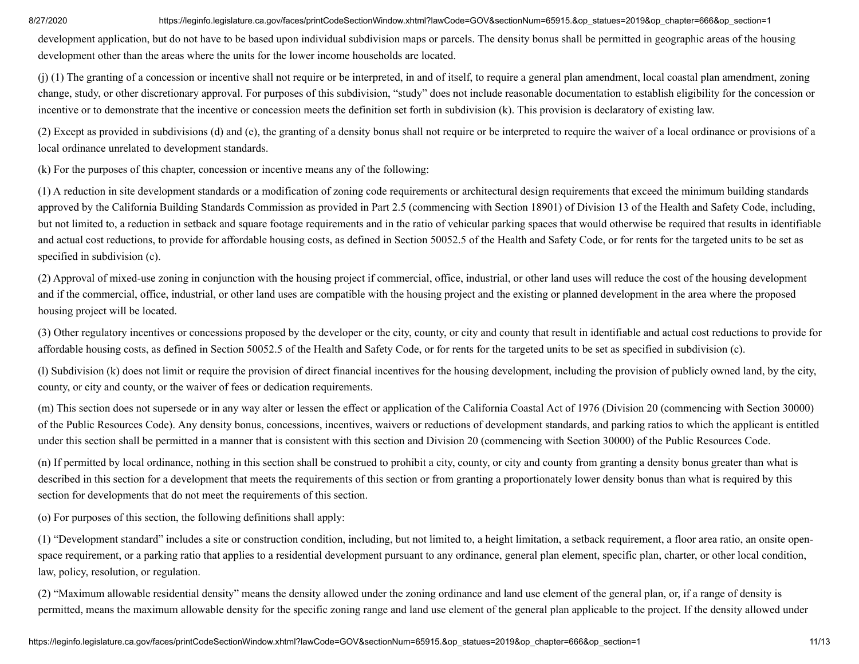development application, but do not have to be based upon individual subdivision maps or parcels. The density bonus shall be permitted in geographic areas of the housing development other than the areas where the units for the lower income households are located.

(j) (1) The granting of a concession or incentive shall not require or be interpreted, in and of itself, to require a general plan amendment, local coastal plan amendment, zoning change, study, or other discretionary approval. For purposes of this subdivision, "study" does not include reasonable documentation to establish eligibility for the concession or incentive or to demonstrate that the incentive or concession meets the definition set forth in subdivision (k). This provision is declaratory of existing law.

(2) Except as provided in subdivisions (d) and (e), the granting of a density bonus shall not require or be interpreted to require the waiver of a local ordinance or provisions of a local ordinance unrelated to development standards.

(k) For the purposes of this chapter, concession or incentive means any of the following:

(1) A reduction in site development standards or a modification of zoning code requirements or architectural design requirements that exceed the minimum building standards approved by the California Building Standards Commission as provided in Part 2.5 (commencing with Section 18901) of Division 13 of the Health and Safety Code, including, but not limited to, a reduction in setback and square footage requirements and in the ratio of vehicular parking spaces that would otherwise be required that results in identifiable and actual cost reductions, to provide for affordable housing costs, as defined in Section 50052.5 of the Health and Safety Code, or for rents for the targeted units to be set as specified in subdivision (c).

(2) Approval of mixed-use zoning in conjunction with the housing project if commercial, office, industrial, or other land uses will reduce the cost of the housing development and if the commercial, office, industrial, or other land uses are compatible with the housing project and the existing or planned development in the area where the proposed housing project will be located.

(3) Other regulatory incentives or concessions proposed by the developer or the city, county, or city and county that result in identifiable and actual cost reductions to provide for affordable housing costs, as defined in Section 50052.5 of the Health and Safety Code, or for rents for the targeted units to be set as specified in subdivision (c).

(l) Subdivision (k) does not limit or require the provision of direct financial incentives for the housing development, including the provision of publicly owned land, by the city, county, or city and county, or the waiver of fees or dedication requirements.

(m) This section does not supersede or in any way alter or lessen the effect or application of the California Coastal Act of 1976 (Division 20 (commencing with Section 30000) of the Public Resources Code). Any density bonus, concessions, incentives, waivers or reductions of development standards, and parking ratios to which the applicant is entitled under this section shall be permitted in a manner that is consistent with this section and Division 20 (commencing with Section 30000) of the Public Resources Code.

(n) If permitted by local ordinance, nothing in this section shall be construed to prohibit a city, county, or city and county from granting a density bonus greater than what is described in this section for a development that meets the requirements of this section or from granting a proportionately lower density bonus than what is required by this section for developments that do not meet the requirements of this section.

(o) For purposes of this section, the following definitions shall apply:

(1) "Development standard" includes a site or construction condition, including, but not limited to, a height limitation, a setback requirement, a floor area ratio, an onsite openspace requirement, or a parking ratio that applies to a residential development pursuant to any ordinance, general plan element, specific plan, charter, or other local condition, law, policy, resolution, or regulation.

(2) "Maximum allowable residential density" means the density allowed under the zoning ordinance and land use element of the general plan, or, if a range of density is permitted, means the maximum allowable density for the specific zoning range and land use element of the general plan applicable to the project. If the density allowed under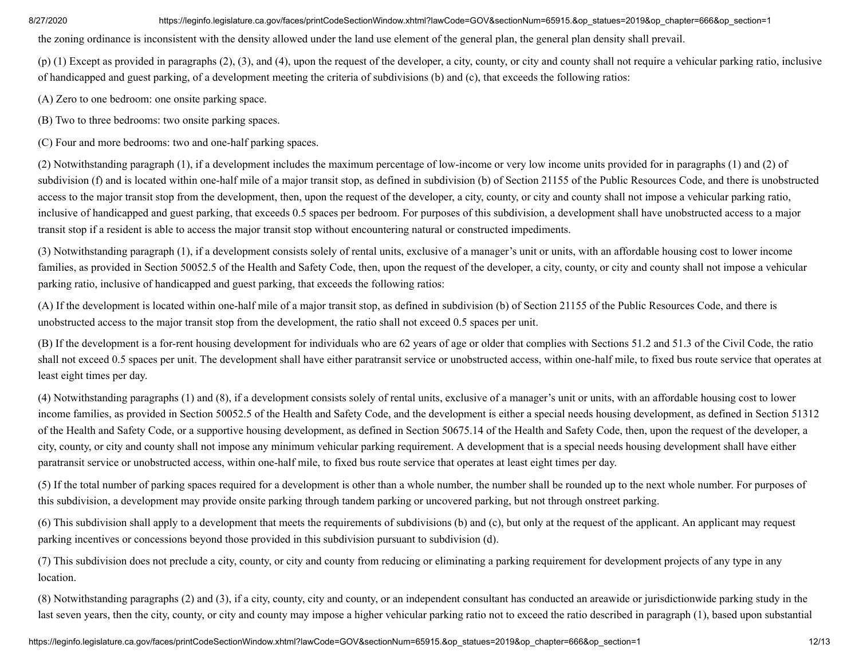the zoning ordinance is inconsistent with the density allowed under the land use element of the general plan, the general plan density shall prevail.

(p) (1) Except as provided in paragraphs (2), (3), and (4), upon the request of the developer, a city, county, or city and county shall not require a vehicular parking ratio, inclusive of handicapped and guest parking, of a development meeting the criteria of subdivisions (b) and (c), that exceeds the following ratios:

(A) Zero to one bedroom: one onsite parking space.

(B) Two to three bedrooms: two onsite parking spaces.

(C) Four and more bedrooms: two and one-half parking spaces.

(2) Notwithstanding paragraph (1), if a development includes the maximum percentage of low-income or very low income units provided for in paragraphs (1) and (2) of subdivision (f) and is located within one-half mile of a major transit stop, as defined in subdivision (b) of Section 21155 of the Public Resources Code, and there is unobstructed access to the major transit stop from the development, then, upon the request of the developer, a city, county, or city and county shall not impose a vehicular parking ratio, inclusive of handicapped and guest parking, that exceeds 0.5 spaces per bedroom. For purposes of this subdivision, a development shall have unobstructed access to a major transit stop if a resident is able to access the major transit stop without encountering natural or constructed impediments.

(3) Notwithstanding paragraph (1), if a development consists solely of rental units, exclusive of a manager's unit or units, with an affordable housing cost to lower income families, as provided in Section 50052.5 of the Health and Safety Code, then, upon the request of the developer, a city, county, or city and county shall not impose a vehicular parking ratio, inclusive of handicapped and guest parking, that exceeds the following ratios:

(A) If the development is located within one-half mile of a major transit stop, as defined in subdivision (b) of Section 21155 of the Public Resources Code, and there is unobstructed access to the major transit stop from the development, the ratio shall not exceed 0.5 spaces per unit.

(B) If the development is a for-rent housing development for individuals who are 62 years of age or older that complies with Sections 51.2 and 51.3 of the Civil Code, the ratio shall not exceed 0.5 spaces per unit. The development shall have either paratransit service or unobstructed access, within one-half mile, to fixed bus route service that operates at least eight times per day.

(4) Notwithstanding paragraphs (1) and (8), if a development consists solely of rental units, exclusive of a manager's unit or units, with an affordable housing cost to lower income families, as provided in Section 50052.5 of the Health and Safety Code, and the development is either a special needs housing development, as defined in Section 51312 of the Health and Safety Code, or a supportive housing development, as defined in Section 50675.14 of the Health and Safety Code, then, upon the request of the developer, a city, county, or city and county shall not impose any minimum vehicular parking requirement. A development that is a special needs housing development shall have either paratransit service or unobstructed access, within one-half mile, to fixed bus route service that operates at least eight times per day.

(5) If the total number of parking spaces required for a development is other than a whole number, the number shall be rounded up to the next whole number. For purposes of this subdivision, a development may provide onsite parking through tandem parking or uncovered parking, but not through onstreet parking.

(6) This subdivision shall apply to a development that meets the requirements of subdivisions (b) and (c), but only at the request of the applicant. An applicant may request parking incentives or concessions beyond those provided in this subdivision pursuant to subdivision (d).

(7) This subdivision does not preclude a city, county, or city and county from reducing or eliminating a parking requirement for development projects of any type in any location.

(8) Notwithstanding paragraphs (2) and (3), if a city, county, city and county, or an independent consultant has conducted an areawide or jurisdictionwide parking study in the last seven years, then the city, county, or city and county may impose a higher vehicular parking ratio not to exceed the ratio described in paragraph (1), based upon substantial